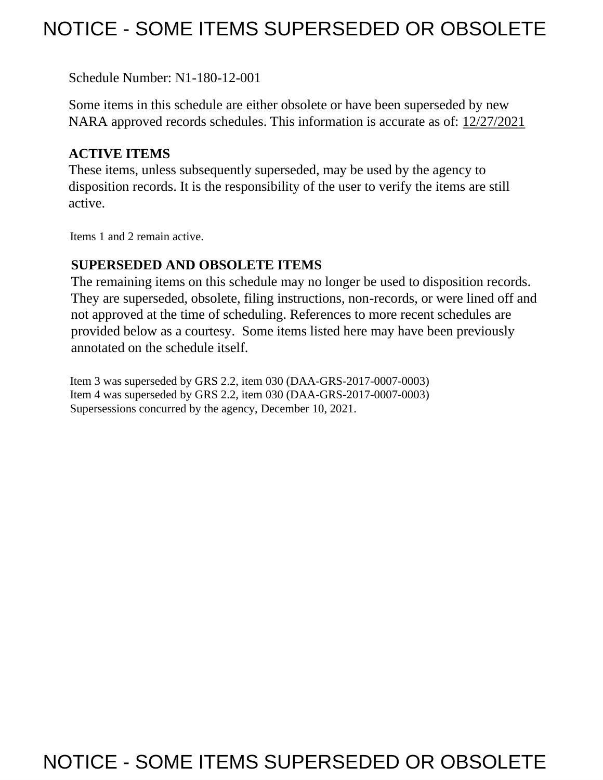# NOTICE - SOME ITEMS SUPERSEDED OR OBSOLETE

Schedule Number: N1-180-12-001

Some items in this schedule are either obsolete or have been superseded by new NARA approved records schedules. This information is accurate as of: 12/27/2021

# **ACTIVE ITEMS**

These items, unless subsequently superseded, may be used by the agency to disposition records. It is the responsibility of the user to verify the items are still active.

Items 1 and 2 remain active.

## **SUPERSEDED AND OBSOLETE ITEMS**

The remaining items on this schedule may no longer be used to disposition records. They are superseded, obsolete, filing instructions, non-records, or were lined off and not approved at the time of scheduling. References to more recent schedules are provided below as a courtesy. Some items listed here may have been previously annotated on the schedule itself.

Item 3 was superseded by GRS 2.2, item 030 (DAA-GRS-2017-0007-0003) Item 4 was superseded by GRS 2.2, item 030 (DAA-GRS-2017-0007-0003) Supersessions concurred by the agency, December 10, 2021.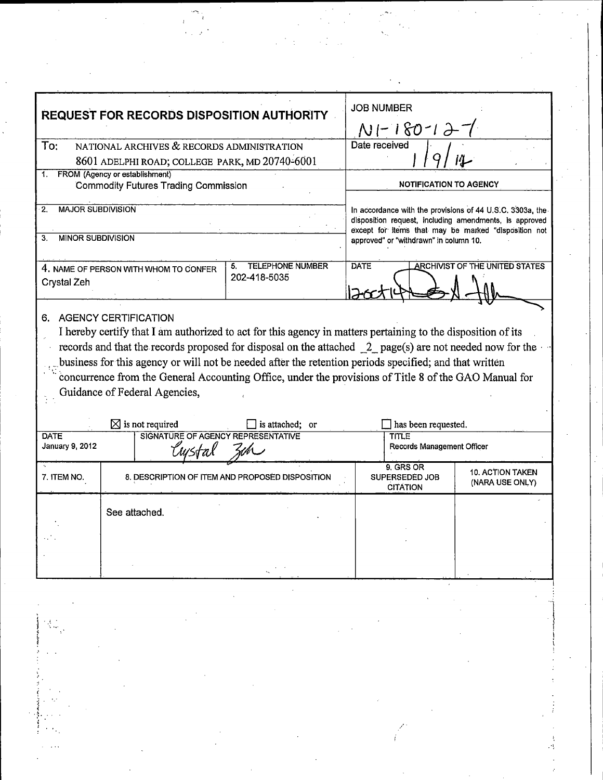| <b>REQUEST FOR RECORDS DISPOSITION AUTHORITY</b>                                                                                                                                                                                                                                                                                                                                                                                                                                                                   |                                                                                              |                                                 | <b>JOB NUMBER</b><br>$N1 - 180 - 12 - 1$                                                                                                                                    |                                                |                                            |  |
|--------------------------------------------------------------------------------------------------------------------------------------------------------------------------------------------------------------------------------------------------------------------------------------------------------------------------------------------------------------------------------------------------------------------------------------------------------------------------------------------------------------------|----------------------------------------------------------------------------------------------|-------------------------------------------------|-----------------------------------------------------------------------------------------------------------------------------------------------------------------------------|------------------------------------------------|--------------------------------------------|--|
| To:                                                                                                                                                                                                                                                                                                                                                                                                                                                                                                                | NATIONAL ARCHIVES & RECORDS ADMINISTRATION<br>8601 ADELPHI ROAD; COLLEGE PARK, MD 20740-6001 |                                                 |                                                                                                                                                                             | Date received                                  |                                            |  |
| FROM (Agency or establishment)<br>1.<br><b>Commodity Futures Trading Commission</b>                                                                                                                                                                                                                                                                                                                                                                                                                                |                                                                                              |                                                 | <b>NOTIFICATION TO AGENCY</b>                                                                                                                                               |                                                |                                            |  |
| <b>MAJOR SUBDIVISION</b><br>$\cdot$ 2.                                                                                                                                                                                                                                                                                                                                                                                                                                                                             |                                                                                              |                                                 | In accordance with the provisions of 44 U.S.C. 3303a, the<br>disposition request, including amendments, is approved<br>except for items that may be marked "disposition not |                                                |                                            |  |
| <b>MINOR SUBDIVISION</b><br>З.                                                                                                                                                                                                                                                                                                                                                                                                                                                                                     |                                                                                              |                                                 | approved" or "withdrawn" in column 10.                                                                                                                                      |                                                |                                            |  |
| <b>TELEPHONE NUMBER</b><br>5.<br>4. NAME OF PERSON WITH WHOM TO CONFER<br>202-418-5035<br>Crystal Zeh                                                                                                                                                                                                                                                                                                                                                                                                              |                                                                                              |                                                 | <b>DATE</b><br><b>ARCHIVIST OF THE UNITED STATES</b>                                                                                                                        |                                                |                                            |  |
| <b>AGENCY CERTIFICATION</b><br>6.<br>I hereby certify that I am authorized to act for this agency in matters pertaining to the disposition of its<br>records and that the records proposed for disposal on the attached $2$ page(s) are not needed now for the<br>business for this agency or will not be needed after the retention periods specified; and that written<br>concurrence from the General Accounting Office, under the provisions of Title 8 of the GAO Manual for<br>Guidance of Federal Agencies, |                                                                                              |                                                 |                                                                                                                                                                             |                                                |                                            |  |
| DATE                                                                                                                                                                                                                                                                                                                                                                                                                                                                                                               | $\boxtimes$ is not required<br>is attached; or<br>SIGNATURE OF AGENCY REPRESENTATIVE         |                                                 |                                                                                                                                                                             | has been requested.<br><b>TITLE</b>            |                                            |  |
| January 9, 2012                                                                                                                                                                                                                                                                                                                                                                                                                                                                                                    | ้มเรtล)                                                                                      |                                                 | Records Management Officer                                                                                                                                                  |                                                |                                            |  |
| 7. ITEM NO.                                                                                                                                                                                                                                                                                                                                                                                                                                                                                                        |                                                                                              | 8. DESCRIPTION OF ITEM AND PROPOSED DISPOSITION |                                                                                                                                                                             | 9. GRS OR<br>SUPERSEDED JOB<br><b>CITATION</b> | <b>10. ACTION TAKEN</b><br>(NARA USE ONLY) |  |
|                                                                                                                                                                                                                                                                                                                                                                                                                                                                                                                    | See attached.                                                                                |                                                 |                                                                                                                                                                             |                                                |                                            |  |
|                                                                                                                                                                                                                                                                                                                                                                                                                                                                                                                    |                                                                                              |                                                 |                                                                                                                                                                             |                                                |                                            |  |

atric<br>Alban<br>Alba

 $\sim$   $\sim$ 

 $\frac{1}{2} \sum_{i=1}^{n} \frac{1}{2} \left( \frac{1}{2} \right)^2$ 

 $\frac{1}{2}$ 

*(*  i .  $\mathbb{I}$ . . I *:*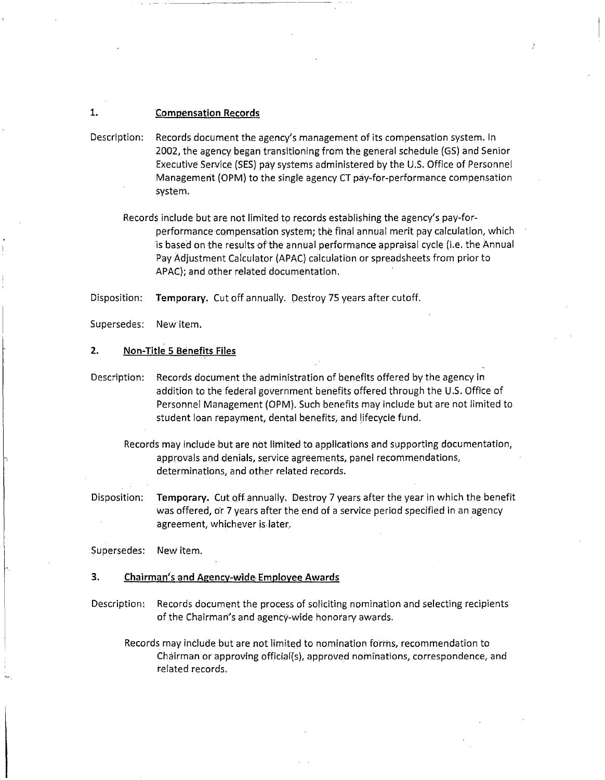## **1. Compensation Records**

- Description: Records document the agency's management of its compensation system. In 2002, the agency began transitioning from the general schedule (GS) and Senior Executive Service (SES) pay systems administered by the U.S. Office of Personnel Management {OPM) to the single agency CT pay-for-performance compensation system.
	- Records include but are not limited to records establishing the agency's pay-forperformance compensation system; the final annual merit pay calculation, which is based on the results of the annual performance appraisal cycle (i.e. the Annual Pay Adjustment Calculator (APAC) calculation or spreadsheets from prior to APAC); and other related documentation.

Disposition: **Temporary.** Cut off annually. Oesfroy 75 years after cutoff.

Supersedes: New item.

#### **2. Non~Title 5 Benefits Files**

- Description: Records document the administration of benefits offered by the agency in addition to the federal government benefits offered through the U .5. Office of Personnel Management (OPM). Such benefits may include but are not limited to student loan repayment, dental benefits, and lifecycle fund.
	- Records may include hut are not limited to applications and supporting documentation, approvals and denials, service agreements, panel recommendations, determinations, and other related records.
- Disposition: **Temporary.** Cut off. annually. Destroy 7 years after the year in which the benefit was offered, or 7 years after the end of a service period specified in an agency agreement, whichever is later.

Supersedes: New item.

#### **3. Chairman's and Agency~wide, Employee Awards**

Description, Records document the process of soliciting nomination and selecting recipients of the Chairman's and agency-Wide honorary awards.

Records may include but are not limited to nomination forms, recommendation to Chairman or approving official{s), approved nominations, correspondence, and related records.